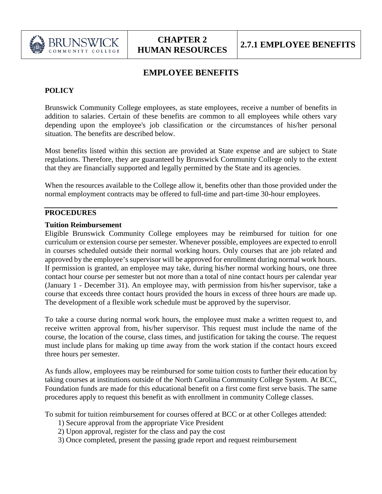

# **EMPLOYEE BENEFITS**

# **POLICY**

Brunswick Community College employees, as state employees, receive a number of benefits in addition to salaries. Certain of these benefits are common to all employees while others vary depending upon the employee's job classification or the circumstances of his/her personal situation. The benefits are described below.

Most benefits listed within this section are provided at State expense and are subject to State regulations. Therefore, they are guaranteed by Brunswick Community College only to the extent that they are financially supported and legally permitted by the State and its agencies.

When the resources available to the College allow it, benefits other than those provided under the normal employment contracts may be offered to full-time and part-time 30-hour employees.

## **PROCEDURES**

#### **Tuition Reimbursement**

Eligible Brunswick Community College employees may be reimbursed for tuition for one curriculum or extension course per semester. Whenever possible, employees are expected to enroll in courses scheduled outside their normal working hours. Only courses that are job related and approved by the employee's supervisor will be approved for enrollment during normal work hours. If permission is granted, an employee may take, during his/her normal working hours, one three contact hour course per semester but not more than a total of nine contact hours per calendar year (January 1 - December 31). An employee may, with permission from his/her supervisor, take a course that exceeds three contact hours provided the hours in excess of three hours are made up. The development of a flexible work schedule must be approved by the supervisor.

To take a course during normal work hours, the employee must make a written request to, and receive written approval from, his/her supervisor. This request must include the name of the course, the location of the course, class times, and justification for taking the course. The request must include plans for making up time away from the work station if the contact hours exceed three hours per semester.

As funds allow, employees may be reimbursed for some tuition costs to further their education by taking courses at institutions outside of the North Carolina Community College System. At BCC, Foundation funds are made for this educational benefit on a first come first serve basis. The same procedures apply to request this benefit as with enrollment in community College classes.

To submit for tuition reimbursement for courses offered at BCC or at other Colleges attended:

- 1) Secure approval from the appropriate Vice President
- 2) Upon approval, register for the class and pay the cost
- 3) Once completed, present the passing grade report and request reimbursement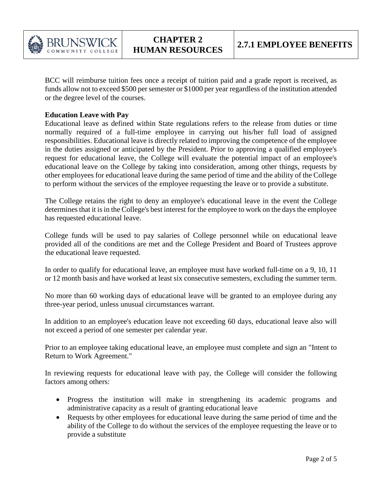

BCC will reimburse tuition fees once a receipt of tuition paid and a grade report is received, as funds allow not to exceed \$500 per semester or \$1000 per year regardless of the institution attended or the degree level of the courses.

#### **Education Leave with Pay**

Educational leave as defined within State regulations refers to the release from duties or time normally required of a full-time employee in carrying out his/her full load of assigned responsibilities. Educational leave is directly related to improving the competence of the employee in the duties assigned or anticipated by the President. Prior to approving a qualified employee's request for educational leave, the College will evaluate the potential impact of an employee's educational leave on the College by taking into consideration, among other things, requests by other employees for educational leave during the same period of time and the ability of the College to perform without the services of the employee requesting the leave or to provide a substitute.

The College retains the right to deny an employee's educational leave in the event the College determines that it is in the College's best interest for the employee to work on the days the employee has requested educational leave.

College funds will be used to pay salaries of College personnel while on educational leave provided all of the conditions are met and the College President and Board of Trustees approve the educational leave requested.

In order to qualify for educational leave, an employee must have worked full-time on a 9, 10, 11 or 12 month basis and have worked at least six consecutive semesters, excluding the summer term.

No more than 60 working days of educational leave will be granted to an employee during any three-year period, unless unusual circumstances warrant.

In addition to an employee's education leave not exceeding 60 days, educational leave also will not exceed a period of one semester per calendar year.

Prior to an employee taking educational leave, an employee must complete and sign an "Intent to Return to Work Agreement."

In reviewing requests for educational leave with pay, the College will consider the following factors among others:

- Progress the institution will make in strengthening its academic programs and administrative capacity as a result of granting educational leave
- Requests by other employees for educational leave during the same period of time and the ability of the College to do without the services of the employee requesting the leave or to provide a substitute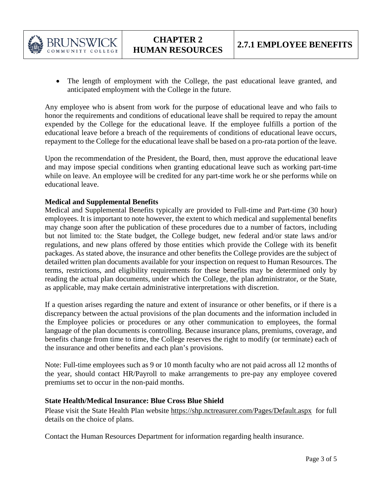

• The length of employment with the College, the past educational leave granted, and anticipated employment with the College in the future.

Any employee who is absent from work for the purpose of educational leave and who fails to honor the requirements and conditions of educational leave shall be required to repay the amount expended by the College for the educational leave. If the employee fulfills a portion of the educational leave before a breach of the requirements of conditions of educational leave occurs, repayment to the College for the educational leave shall be based on a pro-rata portion of the leave.

Upon the recommendation of the President, the Board, then, must approve the educational leave and may impose special conditions when granting educational leave such as working part-time while on leave. An employee will be credited for any part-time work he or she performs while on educational leave.

## **Medical and Supplemental Benefits**

Medical and Supplemental Benefits typically are provided to Full-time and Part-time (30 hour) employees. It is important to note however, the extent to which medical and supplemental benefits may change soon after the publication of these procedures due to a number of factors, including but not limited to: the State budget, the College budget, new federal and/or state laws and/or regulations, and new plans offered by those entities which provide the College with its benefit packages. As stated above, the insurance and other benefits the College provides are the subject of detailed written plan documents available for your inspection on request to Human Resources. The terms, restrictions, and eligibility requirements for these benefits may be determined only by reading the actual plan documents, under which the College, the plan administrator, or the State, as applicable, may make certain administrative interpretations with discretion.

If a question arises regarding the nature and extent of insurance or other benefits, or if there is a discrepancy between the actual provisions of the plan documents and the information included in the Employee policies or procedures or any other communication to employees, the formal language of the plan documents is controlling. Because insurance plans, premiums, coverage, and benefits change from time to time, the College reserves the right to modify (or terminate) each of the insurance and other benefits and each plan's provisions.

Note: Full-time employees such as 9 or 10 month faculty who are not paid across all 12 months of the year, should contact HR/Payroll to make arrangements to pre-pay any employee covered premiums set to occur in the non-paid months.

#### **State Health/Medical Insurance: Blue Cross Blue Shield**

Please visit the State Health Plan website<https://shp.nctreasurer.com/Pages/Default.aspx>for full details on the choice of plans.

Contact the Human Resources Department for information regarding health insurance.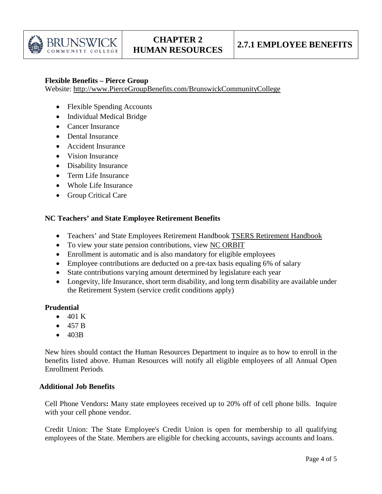

#### **Flexible Benefits – Pierce Group**

Website: [http://www.PierceGroupBenefits.com/BrunswickCommunityCollege](http://www.piercegroupbenefits.com/BrunswickCommunityCollege)

- Flexible Spending Accounts
- Individual Medical Bridge
- Cancer Insurance
- Dental Insurance
- Accident Insurance
- Vision Insurance
- Disability Insurance
- Term Life Insurance
- Whole Life Insurance
- Group Critical Care

#### **NC Teachers' and State Employee Retirement Benefits**

- Teachers' and State Employees Retirement Handbook [TSERS Retirement Handbook](https://www.nctreasurer.com/ret/Benefits%20Handbooks/TSERShandbook.pdf)
- To view your state pension contributions, view [NC ORBIT](https://orbit.myncretirement.com/)
- Enrollment is automatic and is also mandatory for eligible employees
- Employee contributions are deducted on a pre-tax basis equaling 6% of salary
- State contributions varying amount determined by legislature each year
- Longevity, life Insurance, short term disability, and long term disability are available under the Retirement System (service credit conditions apply)

#### **Prudential**

- $\bullet$  401 K
- 457 B
- 403B

 New hires should contact the Human Resources Department to inquire as to how to enroll in the benefits listed above. Human Resources will notify all eligible employees of all Annual Open Enrollment Periods.

#### **Additional Job Benefits**

Cell Phone Vendors**:** Many state employees received up to 20% off of cell phone bills. Inquire with your cell phone vendor.

Credit Union: The State Employee's Credit Union is open for membership to all qualifying employees of the State. Members are eligible for checking accounts, savings accounts and loans.